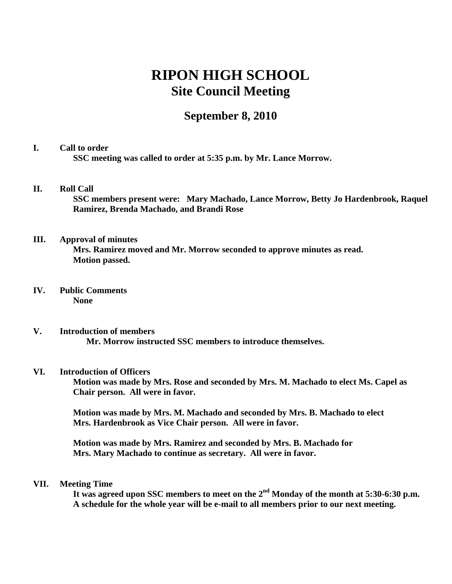# **RIPON HIGH SCHOOL Site Council Meeting**

# **September 8, 2010**

# **I. Call to order SSC meeting was called to order at 5:35 p.m. by Mr. Lance Morrow.**

# **II. Roll Call**

**SSC members present were: Mary Machado, Lance Morrow, Betty Jo Hardenbrook, Raquel Ramirez, Brenda Machado, and Brandi Rose** 

# **III. Approval of minutes**

**Mrs. Ramirez moved and Mr. Morrow seconded to approve minutes as read. Motion passed.** 

### **IV. Public Comments None**

**V. Introduction of members Mr. Morrow instructed SSC members to introduce themselves.**

#### **VI. Introduction of Officers**

**Motion was made by Mrs. Rose and seconded by Mrs. M. Machado to elect Ms. Capel as Chair person. All were in favor.** 

**Motion was made by Mrs. M. Machado and seconded by Mrs. B. Machado to elect Mrs. Hardenbrook as Vice Chair person. All were in favor.** 

**Motion was made by Mrs. Ramirez and seconded by Mrs. B. Machado for Mrs. Mary Machado to continue as secretary. All were in favor.** 

#### **VII. Meeting Time**

**It was agreed upon SSC members to meet on the 2nd Monday of the month at 5:30-6:30 p.m. A schedule for the whole year will be e-mail to all members prior to our next meeting.**